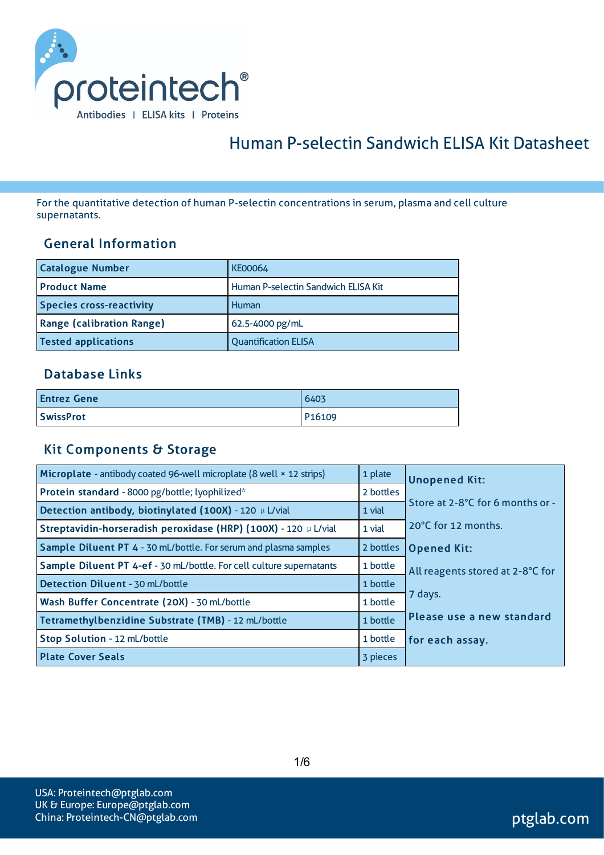

# Human P-selectin Sandwich ELISA Kit Datasheet

For the quantitative detection of human P-selectin concentrationsin serum, plasma and cell culture supernatants.

#### General Information

| <b>Catalogue Number</b>          | <b>KE00064</b>                      |
|----------------------------------|-------------------------------------|
| <b>Product Name</b>              | Human P-selectin Sandwich ELISA Kit |
| <b>Species cross-reactivity</b>  | Human                               |
| <b>Range (calibration Range)</b> | 62.5-4000 pg/mL                     |
| <b>Tested applications</b>       | <b>Quantification ELISA</b>         |

#### Database Links

| <b>Entrez Gene</b> | 6403               |
|--------------------|--------------------|
| <b>SwissProt</b>   | P <sub>16109</sub> |

#### Kit Components & Storage

| Microplate - antibody coated 96-well microplate (8 well × 12 strips) | 1 plate   | <b>Unopened Kit:</b>             |
|----------------------------------------------------------------------|-----------|----------------------------------|
| Protein standard - 8000 pg/bottle; lyophilized*                      | 2 bottles |                                  |
| Detection antibody, biotinylated (100X) - 120 µ L/vial               | 1 vial    | Store at 2-8°C for 6 months or - |
| Streptavidin-horseradish peroxidase (HRP) (100X) - 120 µ L/vial      | 1 vial    | 20°C for 12 months.              |
| Sample Diluent PT 4 - 30 mL/bottle. For serum and plasma samples     | 2 bottles | <b>Opened Kit:</b>               |
| Sample Diluent PT 4-ef - 30 mL/bottle. For cell culture supernatants | 1 bottle  | All reagents stored at 2-8°C for |
| <b>Detection Diluent - 30 mL/bottle</b>                              | 1 bottle  |                                  |
| Wash Buffer Concentrate (20X) - 30 mL/bottle                         | 1 bottle  | 7 days.                          |
| Tetramethylbenzidine Substrate (TMB) - 12 mL/bottle                  | 1 bottle  | Please use a new standard        |
| Stop Solution - 12 mL/bottle                                         | 1 bottle  | for each assay.                  |
| <b>Plate Cover Seals</b>                                             | 3 pieces  |                                  |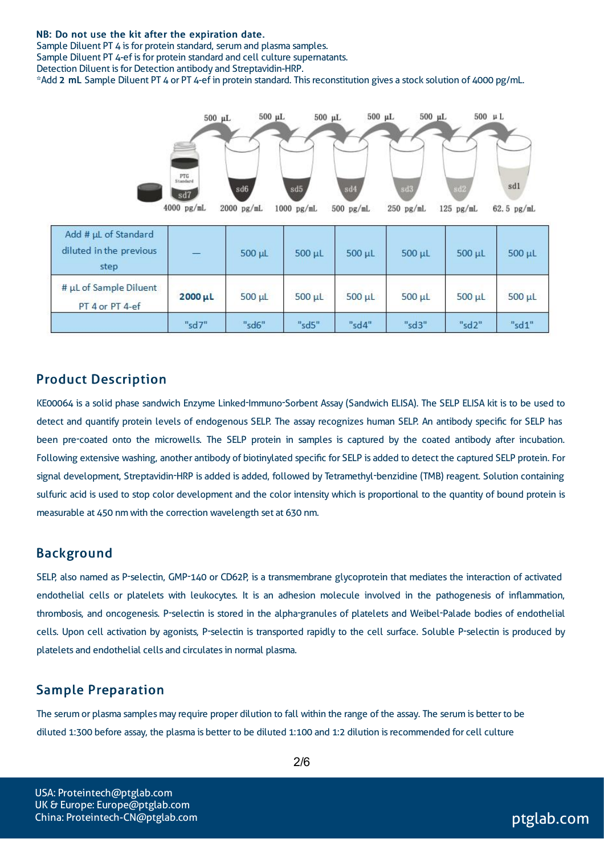#### NB: Do not use the kit after the expiration date.

Sample Diluent PT 4 is for protein standard, serum and plasma samples. Sample Diluent PT 4-ef is for protein standard and cell culture supernatants. Detection Diluent is for Detection antibody and Streptavidin-HRP. \*Add 2 mL Sample Diluent PT 4 or PT 4-ef in protein standard. Thisreconstitution gives a stock solution of 4000 pg/mL.



#### Product Description

KE00064 is a solid phase sandwich Enzyme Linked-Immuno-Sorbent Assay (Sandwich ELISA). The SELP ELISA kit is to be used to detect and quantify protein levels of endogenous SELP. The assay recognizes human SELP. An antibody specific for SELP has been pre-coated onto the microwells. The SELP protein in samples is captured by the coated antibody after incubation. Following extensive washing, another antibody of biotinylated specific for SELP is added to detect the captured SELP protein. For signal development, Streptavidin-HRP is added is added, followed by Tetramethyl-benzidine (TMB) reagent. Solution containing sulfuric acid is used to stop color development and the color intensity which is proportional to the quantity of bound protein is measurable at 450 nm with the correction wavelength set at 630 nm.

#### Background

SELP, also named as P-selectin, GMP-140 or CD62P, is a transmembrane glycoprotein that mediates the interaction of activated endothelial cells or platelets with leukocytes. It is an adhesion molecule involved in the pathogenesis of inflammation, thrombosis, and oncogenesis. P-selectin is stored in the alpha-granules of platelets and Weibel-Palade bodies of endothelial cells. Upon cell activation by agonists, P-selectin is transported rapidly to the cell surface. Soluble P-selectin is produced by platelets and endothelial cells and circulatesin normal plasma.

#### Sample Preparation

The serum or plasma samples may require proper dilution to fall within the range of the assay. The serum is better to be diluted 1:300 before assay, the plasma is better to be diluted 1:100 and 1:2 dilution isrecommended for cell culture

USA: Proteintech@ptglab.com UK & Europe: Europe@ptglab.com China: Proteintech-CN@ptglab.com and ptglab.com ptglab.com ptglab.com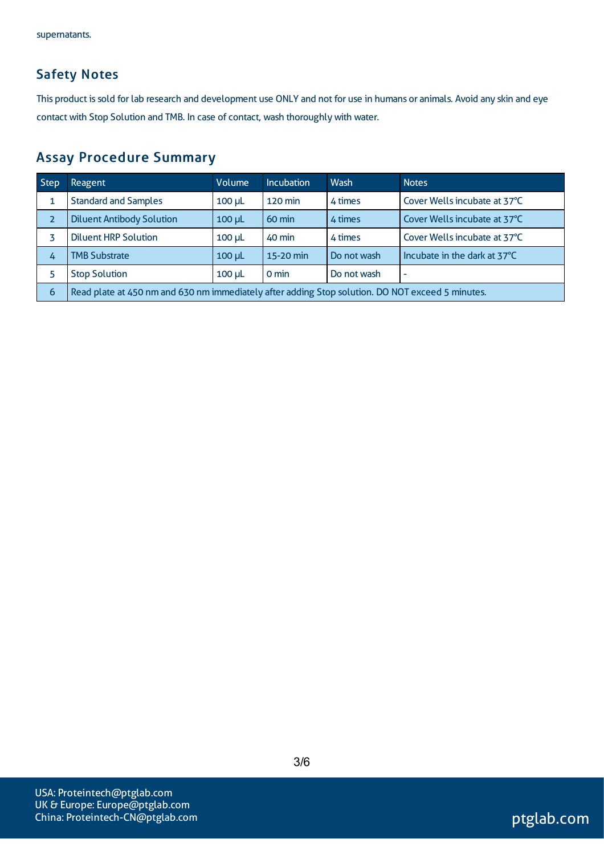### Safety Notes

This product is sold for lab research and development use ONLY and not for use in humans or animals. Avoid any skin and eye contact with Stop Solution and TMB. In case of contact, wash thoroughly with water.

## Assay Procedure Summary

| Step | <b>Reagent</b>                                                                                   | Volume        | <b>Incubation</b> | Wash        | <b>Notes</b>                 |  |
|------|--------------------------------------------------------------------------------------------------|---------------|-------------------|-------------|------------------------------|--|
|      | <b>Standard and Samples</b>                                                                      | $100 \mu L$   | <b>120 min</b>    | 4 times     | Cover Wells incubate at 37°C |  |
| 2    | <b>Diluent Antibody Solution</b>                                                                 | $100$ $\mu$ L | 60 min            | 4 times     | Cover Wells incubate at 37°C |  |
|      | <b>Diluent HRP Solution</b>                                                                      | $100 \mu L$   | 40 min            | 4 times     | Cover Wells incubate at 37°C |  |
| 4    | <b>TMB Substrate</b>                                                                             | $100$ $\mu$ L | 15-20 min         | Do not wash | Incubate in the dark at 37°C |  |
|      | <b>Stop Solution</b>                                                                             | $100$ $\mu$   | 0 min             | Do not wash | ۰                            |  |
| 6    | Read plate at 450 nm and 630 nm immediately after adding Stop solution. DO NOT exceed 5 minutes. |               |                   |             |                              |  |

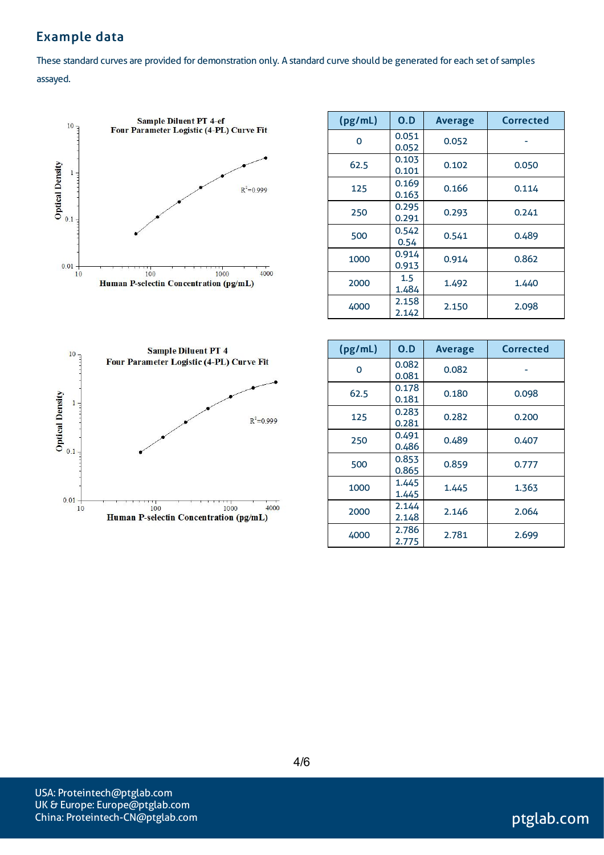### Example data

These standard curves are provided for demonstration only. A standard curve should be generated for each set of samples assayed.



| (pg/mL) | 0.D            | <b>Average</b> | Corrected |  |
|---------|----------------|----------------|-----------|--|
| O       | 0.051<br>0.052 | 0.052          |           |  |
| 62.5    | 0.103<br>0.101 | 0.102          | 0.050     |  |
| 125     | 0.169<br>0.163 | 0.166          | 0.114     |  |
| 250     | 0.295<br>0.291 | 0.293          | 0.241     |  |
| 500     | 0.542<br>0.54  | 0.541          | 0.489     |  |
| 1000    | 0.914<br>0.913 | 0.914          | 0.862     |  |
| 2000    | 1.5<br>1.484   | 1.492          | 1.440     |  |
| 4000    | 2.158<br>2.142 | 2.150          | 2.098     |  |



| (pg/mL)  | 0.D            | <b>Average</b> | <b>Corrected</b> |
|----------|----------------|----------------|------------------|
| $\Omega$ | 0.082<br>0.081 | 0.082          |                  |
| 62.5     | 0.178<br>0.181 | 0.180          | 0.098            |
| 125      | 0.283<br>0.281 | 0.282          | 0.200            |
| 250      | 0.491<br>0.486 | 0.489          | 0.407            |
| 500      | 0.853<br>0.865 | 0.859          | 0.777            |
| 1000     | 1.445<br>1.445 | 1.445          | 1.363            |
| 2000     | 2.144<br>2.148 | 2.146          | 2.064            |
| 4000     | 2.786<br>2.775 | 2.781          | 2.699            |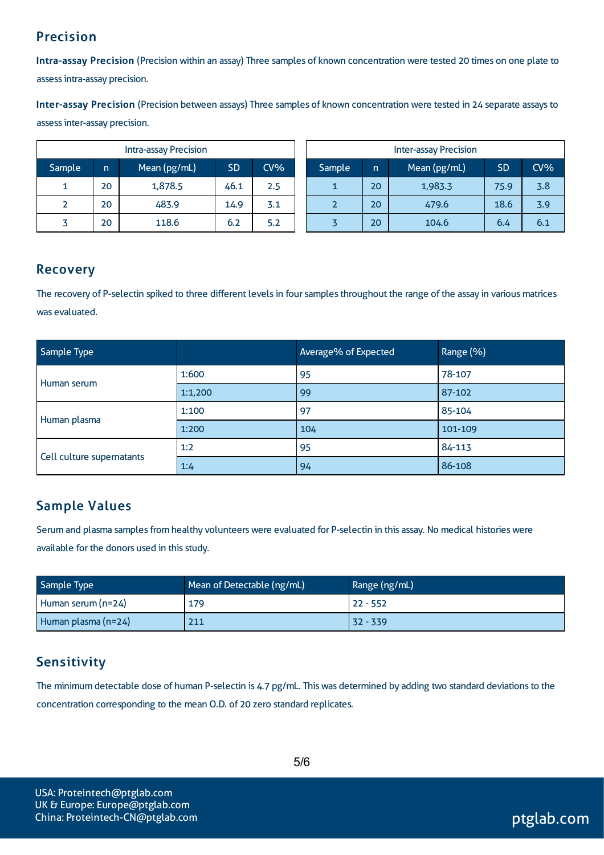### Precision

Intra-assay Precision (Precision within an assay) Three samples of known concentration were tested 20 times on one plate to assessintra-assay precision.

Inter-assay Precision (Precision between assays) Three samples of known concentration were tested in 24 separate assaysto assessinter-assay precision.

|        |    | <b>Intra-assay Precision</b> |           |        | <b>Inter-assay Precision</b> |        |     |              |           |        |
|--------|----|------------------------------|-----------|--------|------------------------------|--------|-----|--------------|-----------|--------|
| Sample | n  | Mean (pg/mL)                 | <b>SD</b> | $CV\%$ |                              | Sample | 'n. | Mean (pg/mL) | <b>SD</b> | $CV\%$ |
|        | 20 | 1,878.5                      | 46.1      | 2.5    |                              |        | 20  | 1,983.3      | 75.9      | 3.8    |
|        | 20 | 483.9                        | 14.9      | 3.1    |                              |        | 20  | 479.6        | 18.6      | 3.9    |
|        | 20 | 118.6                        | 6.2       | 5.2    |                              |        | 20  | 104.6        | 6.4       | 6.1    |

#### Recovery

The recovery of P-selectin spiked to three different levels in four samples throughout the range of the assay in various matrices was evaluated.

| Sample Type               |         | Average% of Expected | Range (%) |
|---------------------------|---------|----------------------|-----------|
| Human serum               | 1:600   | 95                   | 78-107    |
|                           | 1:1,200 | 99                   | 87-102    |
|                           | 1:100   | 97                   | 85-104    |
| Human plasma              | 1:200   | 104                  | 101-109   |
|                           | 1:2     | 95                   | 84-113    |
| Cell culture supernatants | 1:4     | 94                   | 86-108    |

### Sample Values

Serum and plasma samples from healthy volunteers were evaluated for P-selectin in this assay. No medical histories were available for the donors used in this study.

| Mean of Detectable (ng/mL)<br>Sample Type |     | Range (ng/mL) |
|-------------------------------------------|-----|---------------|
| Human serum (n=24)                        | 179 | $22 - 552$    |
| Human plasma (n=24)                       | 211 | 32 - 339      |

## **Sensitivity**

The minimum detectable dose of human P-selectin is 4.7 pg/mL. This was determined by adding two standard deviations to the concentration corresponding to the mean O.D. of 20 zero standard replicates.